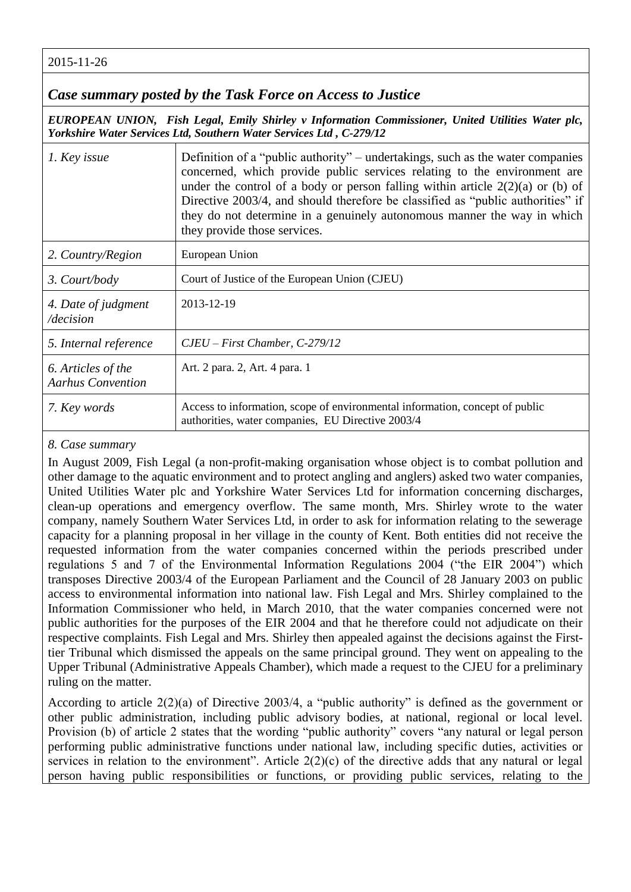2015-11-26

## *Case summary posted by the Task Force on Access to Justice*

*EUROPEAN UNION, Fish Legal, Emily Shirley v Information Commissioner, United Utilities Water plc, Yorkshire Water Services Ltd, Southern Water Services Ltd , C-279/12* 

| 1. Key issue                                   | Definition of a "public authority" – undertakings, such as the water companies<br>concerned, which provide public services relating to the environment are<br>under the control of a body or person falling within article $2(2)(a)$ or (b) of<br>Directive 2003/4, and should therefore be classified as "public authorities" if<br>they do not determine in a genuinely autonomous manner the way in which<br>they provide those services. |
|------------------------------------------------|----------------------------------------------------------------------------------------------------------------------------------------------------------------------------------------------------------------------------------------------------------------------------------------------------------------------------------------------------------------------------------------------------------------------------------------------|
| 2. Country/Region                              | European Union                                                                                                                                                                                                                                                                                                                                                                                                                               |
| 3. Court/body                                  | Court of Justice of the European Union (CJEU)                                                                                                                                                                                                                                                                                                                                                                                                |
| 4. Date of judgment<br>/decision               | 2013-12-19                                                                                                                                                                                                                                                                                                                                                                                                                                   |
| 5. Internal reference                          | $CJEU - First Chamber, C-279/12$                                                                                                                                                                                                                                                                                                                                                                                                             |
| 6. Articles of the<br><b>Aarhus Convention</b> | Art. 2 para. 2, Art. 4 para. 1                                                                                                                                                                                                                                                                                                                                                                                                               |
| 7. Key words                                   | Access to information, scope of environmental information, concept of public<br>authorities, water companies, EU Directive 2003/4                                                                                                                                                                                                                                                                                                            |

## *8. Case summary*

In August 2009, Fish Legal (a non-profit-making organisation whose object is to combat pollution and other damage to the aquatic environment and to protect angling and anglers) asked two water companies, United Utilities Water plc and Yorkshire Water Services Ltd for information concerning discharges, clean-up operations and emergency overflow. The same month, Mrs. Shirley wrote to the water company, namely Southern Water Services Ltd, in order to ask for information relating to the sewerage capacity for a planning proposal in her village in the county of Kent. Both entities did not receive the requested information from the water companies concerned within the periods prescribed under regulations 5 and 7 of the Environmental Information Regulations 2004 ("the EIR 2004") which transposes Directive 2003/4 of the European Parliament and the Council of 28 January 2003 on public access to environmental information into national law. Fish Legal and Mrs. Shirley complained to the Information Commissioner who held, in March 2010, that the water companies concerned were not public authorities for the purposes of the EIR 2004 and that he therefore could not adjudicate on their respective complaints. Fish Legal and Mrs. Shirley then appealed against the decisions against the Firsttier Tribunal which dismissed the appeals on the same principal ground. They went on appealing to the Upper Tribunal (Administrative Appeals Chamber), which made a request to the CJEU for a preliminary ruling on the matter.

According to article 2(2)(a) of Directive 2003/4, a "public authority" is defined as the government or other public administration, including public advisory bodies, at national, regional or local level. Provision (b) of article 2 states that the wording "public authority" covers "any natural or legal person performing public administrative functions under national law, including specific duties, activities or services in relation to the environment". Article 2(2)(c) of the directive adds that any natural or legal person having public responsibilities or functions, or providing public services, relating to the